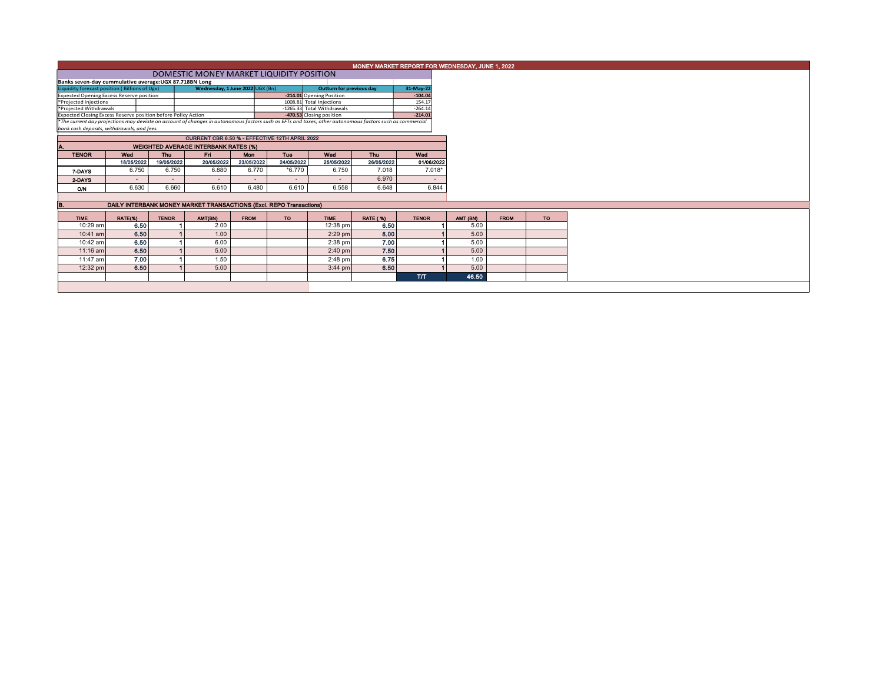| MONEY MARKET REPORT FOR WEDNESDAY, JUNE 1, 2022 |  |  |
|-------------------------------------------------|--|--|
|                                                 |  |  |

| DOMESTIC MONEY MARKET LIQUIDITY POSITION                                                                                                                 |  |                                 |  |                                 |           |           |  |  |  |  |  |  |
|----------------------------------------------------------------------------------------------------------------------------------------------------------|--|---------------------------------|--|---------------------------------|-----------|-----------|--|--|--|--|--|--|
| Banks seven-day cummulative average: UGX 87.718BN Long                                                                                                   |  |                                 |  |                                 |           |           |  |  |  |  |  |  |
| Liquidity forecast position (Billions of Ugx)                                                                                                            |  | Wednesday, 1 June 2022 UGX (Bn) |  | <b>Outturn for previous day</b> | 31-May-22 |           |  |  |  |  |  |  |
| <b>Expected Opening Excess Reserve position</b>                                                                                                          |  |                                 |  | -214.01 Opening Position        |           | $-104.04$ |  |  |  |  |  |  |
| *Projected Injections                                                                                                                                    |  |                                 |  | 1008.81 Total Injections        | 154.17    |           |  |  |  |  |  |  |
| *Projected Withdrawals                                                                                                                                   |  |                                 |  | -1265.33 Total Withdrawals      |           | $-264.14$ |  |  |  |  |  |  |
| Expected Closing Excess Reserve position before Policy Action                                                                                            |  |                                 |  | -470.53 Closing position        |           | $-214.01$ |  |  |  |  |  |  |
| *The current day projections may deviate on account of changes in autonomous factors such as EFTs and taxes; other autonomous factors such as commercial |  |                                 |  |                                 |           |           |  |  |  |  |  |  |

*bank cash deposits, withdrawals, and fees.*

| CURRENT CBR 6.50 % - EFFECTIVE 12TH APRIL 2022 |                                             |            |                          |                          |                          |                |            |            |  |  |  |  |  |  |  |
|------------------------------------------------|---------------------------------------------|------------|--------------------------|--------------------------|--------------------------|----------------|------------|------------|--|--|--|--|--|--|--|
| IA.                                            | <b>WEIGHTED AVERAGE INTERBANK RATES (%)</b> |            |                          |                          |                          |                |            |            |  |  |  |  |  |  |  |
| <b>TENOR</b>                                   | Wed                                         | <b>Thu</b> | <b>Fri</b>               | <b>Mon</b>               | Tue                      | Wed            | <b>Thu</b> | Wed        |  |  |  |  |  |  |  |
|                                                | 18/05/2022                                  | 19/05/2022 | 20/05/2022               | 23/05/2022               | 24/05/2022               | 25/05/2022     | 26/05/2022 | 01/06/2022 |  |  |  |  |  |  |  |
| 7-DAYS                                         | 6.750                                       | 6.750      | 6.880                    | 6.770                    | $*6.770$                 | 6.750          | 7.018      | $7.018*$   |  |  |  |  |  |  |  |
| 2-DAYS                                         | -                                           | -          | $\overline{\phantom{a}}$ | $\overline{\phantom{a}}$ | $\overline{\phantom{a}}$ | $\overline{a}$ | 6.970      |            |  |  |  |  |  |  |  |
| O/N                                            | 6.630                                       | 6.660      | 6.610                    | 6.480                    | 6.610                    | 6.558          | 6.648      | 6.844      |  |  |  |  |  |  |  |
|                                                |                                             |            |                          |                          |                          |                |            |            |  |  |  |  |  |  |  |

| в.          | DAILY INTERBANK MONEY MARKET TRANSACTIONS (Excl. REPO Transactions) |              |         |             |     |             |                 |              |          |             |           |  |  |  |
|-------------|---------------------------------------------------------------------|--------------|---------|-------------|-----|-------------|-----------------|--------------|----------|-------------|-----------|--|--|--|
| <b>TIME</b> | RATE(%)                                                             | <b>TENOR</b> | AMT(BN) | <b>FROM</b> | TO. | <b>TIME</b> | <b>RATE (%)</b> | <b>TENOR</b> | AMT (BN) | <b>FROM</b> | <b>TO</b> |  |  |  |
| 10:29 am    | 6.50                                                                |              | 2.00    |             |     | $12:38$ pm  | 6.50            |              | 5.00     |             |           |  |  |  |
| $10:41$ am  | 6.50                                                                |              | 1.00    |             |     | $2:29$ pm   | 8.00            |              | 5.00     |             |           |  |  |  |
| 10:42 am    | 6.50                                                                |              | 6.00    |             |     | $2:38$ pm   | 7.00            |              | 5.00     |             |           |  |  |  |
| $11:16$ am  | 6.50                                                                |              | 5.00    |             |     | $2:40$ pm   | 7.50            |              | 5.00     |             |           |  |  |  |
| 11:47 am    | 7.00                                                                |              | 1.50    |             |     | $2:48$ pm   | 6.75            |              | 1.00     |             |           |  |  |  |
| $12:32$ pm  | 6.50                                                                |              | 5.00    |             |     | $3:44$ pm   | 6.50            |              | 5.00     |             |           |  |  |  |
|             |                                                                     |              |         |             |     |             |                 | T/T          | 46.50    |             |           |  |  |  |
|             |                                                                     |              |         |             |     |             |                 |              |          |             |           |  |  |  |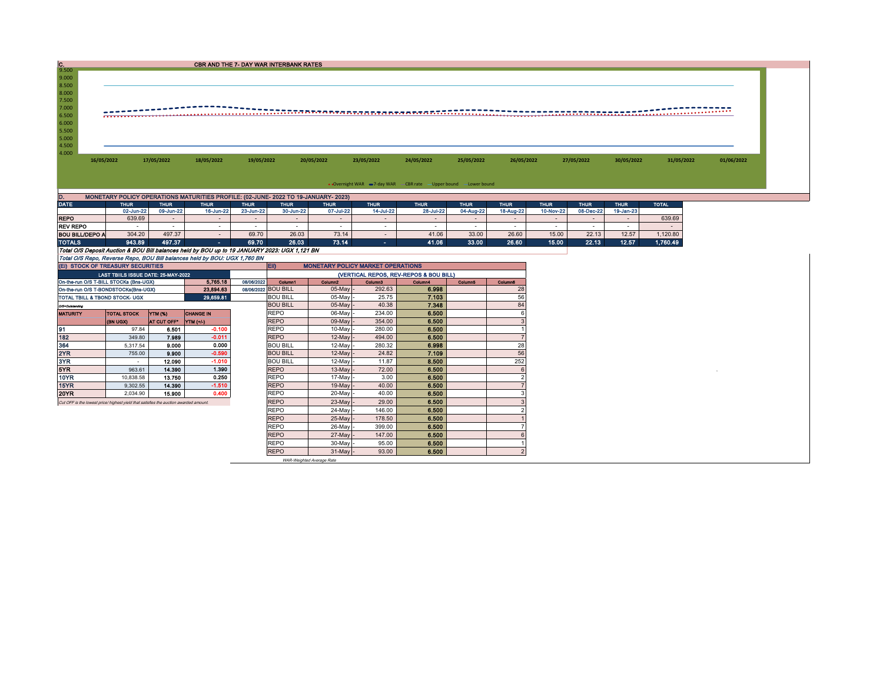| C.9.500         |                        |             |             |                                                                                               |             | CBR AND THE 7- DAY WAR INTERBANK RATES |             |             |                                                                  |             |                          |             |             |                          |              |            |
|-----------------|------------------------|-------------|-------------|-----------------------------------------------------------------------------------------------|-------------|----------------------------------------|-------------|-------------|------------------------------------------------------------------|-------------|--------------------------|-------------|-------------|--------------------------|--------------|------------|
|                 |                        |             |             |                                                                                               |             |                                        |             |             |                                                                  |             |                          |             |             |                          |              |            |
| 9.000           |                        |             |             |                                                                                               |             |                                        |             |             |                                                                  |             |                          |             |             |                          |              |            |
| 8.500           |                        |             |             |                                                                                               |             |                                        |             |             |                                                                  |             |                          |             |             |                          |              |            |
| 8.000           |                        |             |             |                                                                                               |             |                                        |             |             |                                                                  |             |                          |             |             |                          |              |            |
| 7.500           |                        |             |             |                                                                                               |             |                                        |             |             |                                                                  |             |                          |             |             |                          |              |            |
| 7.000           |                        |             |             |                                                                                               |             |                                        |             |             |                                                                  |             |                          |             |             |                          |              |            |
| 6.500           |                        |             |             |                                                                                               |             |                                        |             |             |                                                                  |             |                          |             |             |                          |              |            |
| 6.000           |                        |             |             |                                                                                               |             |                                        |             |             |                                                                  |             |                          |             |             |                          |              |            |
| 5.500           |                        |             |             |                                                                                               |             |                                        |             |             |                                                                  |             |                          |             |             |                          |              |            |
| 5.000           |                        |             |             |                                                                                               |             |                                        |             |             |                                                                  |             |                          |             |             |                          |              |            |
| 4.500           |                        |             |             |                                                                                               |             |                                        |             |             |                                                                  |             |                          |             |             |                          |              |            |
| 4.000           |                        |             |             |                                                                                               |             |                                        |             |             |                                                                  |             |                          |             |             |                          |              |            |
|                 | 16/05/2022             |             | 17/05/2022  | 18/05/2022                                                                                    | 19/05/2022  |                                        | 20/05/2022  | 23/05/2022  | 24/05/2022                                                       | 25/05/2022  | 26/05/2022               |             | 27/05/2022  | 30/05/2022               | 31/05/2022   | 01/06/2022 |
|                 |                        |             |             |                                                                                               |             |                                        |             |             |                                                                  |             |                          |             |             |                          |              |            |
|                 |                        |             |             |                                                                                               |             |                                        |             |             |                                                                  |             |                          |             |             |                          |              |            |
|                 |                        |             |             |                                                                                               |             |                                        |             |             |                                                                  |             |                          |             |             |                          |              |            |
|                 |                        |             |             |                                                                                               |             |                                        |             |             | • Overnight WAR = 7-day WAR CBR rate - Upper bound - Lower bound |             |                          |             |             |                          |              |            |
| D.              |                        |             |             | MONETARY POLICY OPERATIONS MATURITIES PROFILE: (02-JUNE- 2022 TO 19-JANUARY- 2023)            |             |                                        |             |             |                                                                  |             |                          |             |             |                          |              |            |
| <b>DATE</b>     |                        | <b>THUR</b> | <b>THUR</b> | <b>THUR</b>                                                                                   | <b>THUR</b> | <b>THUR</b>                            | <b>THUR</b> | <b>THUR</b> | <b>THUR</b>                                                      | <b>THUR</b> | <b>THUR</b>              | <b>THUR</b> | <b>THUR</b> | <b>THUR</b>              | <b>TOTAL</b> |            |
|                 |                        | 02-Jun-22   | 09-Jun-22   | 16-Jun-22                                                                                     | 23-Jun-22   | 30-Jun-22                              | 07-Jul-22   | 14-Jul-22   | 28-Jul-22                                                        | 04-Aug-22   | 18-Aug-22                | 10-Nov-22   | 08-Dec-22   | 19-Jan-23                |              |            |
| <b>REPO</b>     |                        | 639.69      | $\sim$      | $\sim$                                                                                        | $\sim$      |                                        | $\sim$      | $\sim$      | $\sim$                                                           | $\sim$      | $\sim$                   | $\sim$      | $\sim$      | $\overline{\phantom{a}}$ | 639.69       |            |
| <b>REV REPO</b> |                        | $\sim$      | $\sim$      | $\sim$                                                                                        |             | $\sim$                                 | $\sim$      | $\sim$      | $\sim$                                                           | $\sim$      | $\overline{\phantom{a}}$ | $\sim$      | $\sim$      |                          | $\sim$       |            |
|                 |                        | 304.20      | 497.37      |                                                                                               | 69.70       | 26.03                                  | 73.14       |             | 41.06                                                            | 33.00       | 26.60                    | 15.00       | 22.13       | 12.57                    | 1,120.80     |            |
|                 | <b>BOU BILL/DEPO A</b> |             |             |                                                                                               |             |                                        |             | $\sim$      |                                                                  |             |                          |             |             |                          |              |            |
| <b>TOTALS</b>   |                        | 943.89      | 497.37      | <b>COL</b>                                                                                    | 69.70       | 26.03                                  | 73.14       | $\sim 100$  | 41.06                                                            | 33.00       | 26.60                    | 15.00       | 22.13       | 12.57                    | 1,760.49     |            |
|                 |                        |             |             | Total O/S Deposit Auction & BOU Bill balances held by BOU up to 19 JANUARY 2023: UGX 1,121 BN |             |                                        |             |             |                                                                  |             |                          |             |             |                          |              |            |
|                 |                        |             |             | Total O/S Repo, Reverse Repo, BOU Bill balances held by BOU: UGX 1,760 BN                     |             |                                        |             |             |                                                                  |             |                          |             |             |                          |              |            |

|                                | (EI) STOCK OF TREASURY SECURITIES                                                    |             |                  |            | EII)<br><b>MONETARY POLICY MARKET OPERATIONS</b> |                     |                     |         |                |         |  |  |
|--------------------------------|--------------------------------------------------------------------------------------|-------------|------------------|------------|--------------------------------------------------|---------------------|---------------------|---------|----------------|---------|--|--|
|                                | LAST TBIILS ISSUE DATE: 25-MAY-2022                                                  |             |                  |            | (VERTICAL REPOS, REV-REPOS & BOU BILL)           |                     |                     |         |                |         |  |  |
|                                | On-the-run O/S T-BILL STOCKs (Bns-UGX)                                               |             | 5.765.18         | 08/06/2022 | Column1                                          | Column <sub>2</sub> | Column <sub>3</sub> | Column4 | <b>Column5</b> | Column6 |  |  |
|                                | On-the-run O/S T-BONDSTOCKs(Bns-UGX)                                                 |             | 23.894.63        |            | 08/06/2022 BOU BILL                              | $05$ -May           | 292.63              | 6.998   |                | 28      |  |  |
| TOTAL TBILL & TBOND STOCK- UGX |                                                                                      |             | 29.659.81        |            | <b>BOU BILL</b>                                  | 05-May              | 25.75               | 7.103   |                | 56      |  |  |
| O/S=Outstanding                |                                                                                      |             |                  |            | <b>BOU BILL</b>                                  | 05-May              | 40.38               | 7.348   |                | 84      |  |  |
| <b>MATURITY</b>                | <b>TOTAL STOCK</b>                                                                   | YTM (%)     | <b>CHANGE IN</b> |            | <b>REPO</b>                                      | 06-May              | 234.00              | 6.500   |                |         |  |  |
|                                | <b>(BN UGX)</b>                                                                      | AT CUT OFF* | YTM (+/-)        |            | <b>REPO</b>                                      | 09-May              | 354.00              | 6.500   |                |         |  |  |
| 91                             | 97.84                                                                                | 6.501       | $-0.100$         |            | <b>REPO</b>                                      | 10-May              | 280.00              | 6.500   |                |         |  |  |
| 182                            | 349.80                                                                               | 7.989       | $-0.011$         |            | <b>REPO</b>                                      | 12-May              | 494.00              | 6.500   |                |         |  |  |
| 364                            | 5.317.54                                                                             | 9.000       | 0.000            |            | <b>BOU BILL</b>                                  | 12-May              | 280.32              | 6.998   |                | 28      |  |  |
| 2YR                            | 755.00                                                                               | 9.900       | $-0.590$         |            | <b>BOU BILL</b>                                  | 12-May              | 24.82               | 7.109   |                | 56      |  |  |
| 3YR.                           |                                                                                      | 12.090      | $-1.010$         |            | <b>BOU BILL</b>                                  | 12-May              | 11.87               | 8.500   |                | 252     |  |  |
| 5YR.                           | 963.61                                                                               | 14,390      | 1.390            |            | <b>REPO</b>                                      | 13-May              | 72.00               | 6.500   |                |         |  |  |
| 10YR                           | 10.838.58                                                                            | 13.750      | 0.250            |            | <b>REPO</b>                                      | 17-May              | 3.00                | 6.500   |                |         |  |  |
| 15YR                           | 9,302.55                                                                             | 14.390      | $-1.510$         |            | <b>REPO</b>                                      | $19-May$            | 40.00               | 6.500   |                |         |  |  |
| 20YR                           | 2.034.90                                                                             | 15,900      | 0.400            |            | <b>REPO</b>                                      | 20-May              | 40.00               | 6.500   |                |         |  |  |
|                                | Cut OFF is the lowest price/highest vield that satisfies the auction awarded amount. |             |                  |            | <b>REPO</b>                                      | 23-May              | 29.00               | 6.500   |                |         |  |  |
|                                |                                                                                      |             |                  |            | <b>REPO</b>                                      | 24-May              | 146.00              | 6.500   |                |         |  |  |
|                                |                                                                                      |             |                  |            | <b>REPO</b>                                      | 25-May              | 178.50              | 6.500   |                |         |  |  |
|                                |                                                                                      |             |                  |            | <b>REPO</b>                                      | 26-May              | 399.00              | 6.500   |                |         |  |  |
|                                |                                                                                      |             |                  |            | <b>REPO</b>                                      | 27-May              | 147.00              | 6,500   |                |         |  |  |
|                                |                                                                                      |             |                  |            | <b>REPO</b>                                      | 30-May              | 95.00               | 6.500   |                |         |  |  |
|                                |                                                                                      |             |                  |            | <b>REPO</b>                                      | $31$ -May -         | 93.00               | 6.500   |                |         |  |  |

WAR-Weighted Average Rate